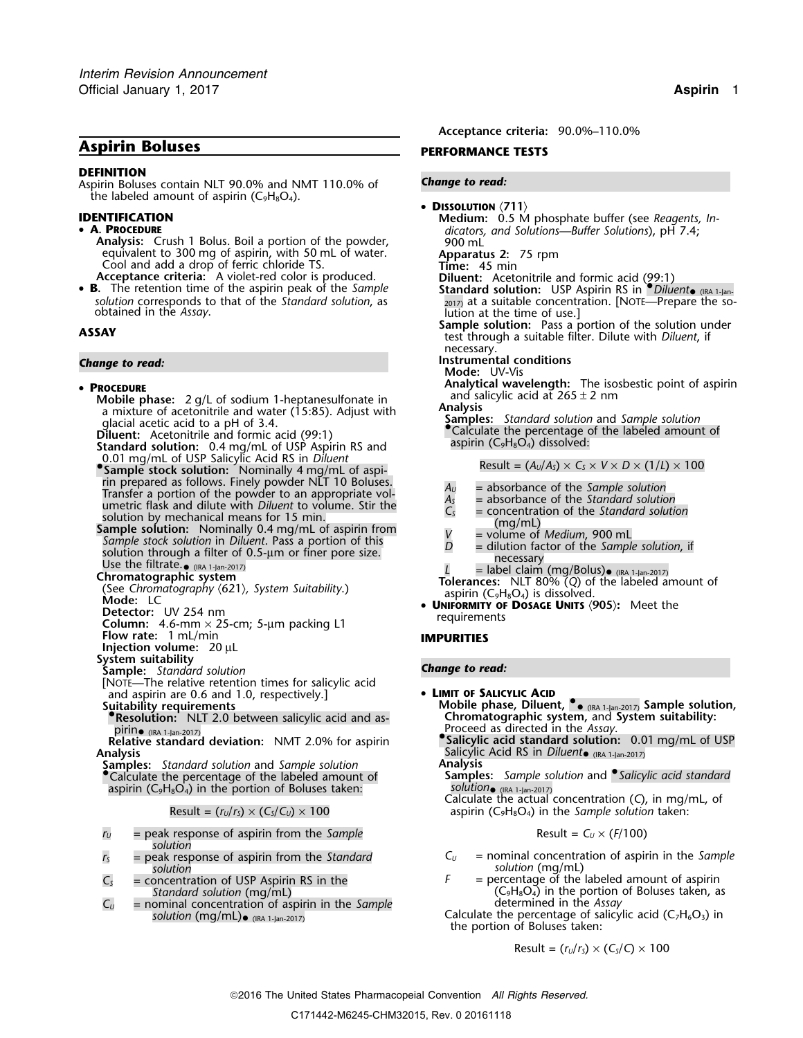# **Aspirin Boluses PERFORMANCE TESTS**

### **DEFINITION**

Aspirin Boluses contain NLT 90.0% and NMT 110.0% of *Change to read:* the labeled amount of aspirin ( $C_9H_8O_4$ ).

### • A PROCEDURE

**Analysis:** Crush 1 Bolus. Boil a portion of the powder, **phintler** and Solutions equivalent to 300 mg of aspirin, with 50 mL of water. equivalent to 300 mg of aspirin, with 50 mL of water. **Apparatus 2:** 75 rpm Cool and add a drop of ferric chloride TS. **Time:** 45 min

• **B.** The retention time of the aspirin peak of the *Sample* **Standard solution:** USP Aspirin RS in *PDiluent*• *solution* corresponds to that of the *Standard solution*, as 2017) at a suitable concentration. **EXEC**<br>1. [NOTE\_PREPARE THE SO- Obtained in the *Assay*. lution at the time of use.]

### **PROCEDURE**

- **Mobile phase:** 2 g/L of sodium 1-heptanesulfonate in all salid 3d at 2 nm and salid 3d at 265 and 265 and 265 and 265 and 265 and 265 and 265 and 265 and 265 and 265 and 265 and 265 and 265 and 265 and 265 and 265 and 265
- 
- 
- 0.01 mg/mL of USP Salicylic Acid RS in *Diluent*<br>• **Sample stock solution:** Nominally 4 mg/mL of aspi- Result = (A<sub>u</sub>/A<sub>s</sub>) × C<sub>s</sub> × V × D × (1/L) × 100 rin prepared as follows. Finely powder NLT 10 Boluses.<br>
Transfer a portion of the powder to an appropriate vol-<br>
umetric flask and dilute with *Diluent* to volume. Stir the<br>
solution by mechanical means for 15 min.<br>
Sampl
- 
- 
- 
- 
- 
- **C** Detector: UV 254 nm **Detector:** UV 254 nm requirements **Column:** 4.6-mm × 25-cm; 5-µm packing L1
- **Flow rate:** 1 mL/min **IMPURITIES**
- **Injection volume:** 20 µL
- **System suitability**
- **Sample:** *Standard solution Change to read:*
- [NOTE—The relative retention times for salicylic acid and aspirin are 0.6 and 1.0, respectively.] <br> **• LIMIT OF SALICYLIC ACID**<br> **Suitability requirements**<br> **CID**<br> **CID**<br> **CID**<br> **CID**<br> **CID**<br> **CID**<br> **CID**<br> **CID**<br> **CID**<br> **CID**<br> **CID**<br> **CID**<br> **CID**
- 
- Resolution: NLT 2.0 between salicylic acid and as-<br>pirin<sub>o (IRA 1-Jan-2017)</sub><br>Roceed as directed in the *Assay*.<br>**•Salicylic acid standard solution:** 0.01 mg/mL of USP (IRA 1-Jan-2017)
- **Relative standard deviation:** NMT 2.0% for aspirin **Analysis**
- **Samples:** *Standard solution* and *Sample solution* **•** Calculate the percentage of the labeled amount of
- aspirin (C<sub>9</sub>H<sub>8</sub>O<sub>4</sub>) in the portion of Boluses taken:

- $r_U$  = peak response of aspirin from the *Sample solution*
- **solution**<br> **solution**<br> **opcentration** of LISP Aspirin RS in the **F**  $=$  perceptage of the **s**
- 
- $C_U$  = nominal concentration of aspirin in the *Sample* solution (mg/mL). (IRA 1-Jan-2017)

**Acceptance criteria:** 90.0%–110.0%

- DISSOLUTION <711> **IDENTIFICATION Medium:** 0.5 M phosphate buffer (see *Reagents, In-*<br>**4. PROCEDURE A. PROCEDURE Acceptance criteria:** A violet-red color is produced. **Diluent:** Acetonitrile and formic acid (99:1)
	- (IRA 1-Jan-
- **Sample solution:** Pass a portion of the solution under **ASSAY** test through a suitable filter. Dilute with *Diluent*, if necessary.
- **Change to read: Instrumental conditions** 
	- **Mode:** UV-Vis
		- **Analytical wavelength:** The isosbestic point of aspirin and salicylic acid at  $265 \pm 2$  nm
	-
	- a mixture of acetonitrile and water (15:85). Adjust with **Analysis**<br>
	glacial acetic acid to a pH of 3.4.<br> **Diluent:** Acetonitrile and formic acid (99:1)<br> **Collument:** Acetonitrile and formic acid (99:1)<br> **Collument:** Aceto giacial accide acid to a pri of 3.4.<br>**Diluent:** Acetonitrile and formic acid (99:1) **and Calculate the percentage of the labeled amount of <b>Standard solution:** 0.4 mg/mL of USP Aspirin RS and aspirin (C<sub>9</sub>H<sub>8</sub>O<sub>4</sub>) dissolv

- 
- 
- 
- 
- 
- 
- Use the filtrate.<br> **Chromatographic system**<br>
(See Chromatography (621) System Suitability **Label Claim (mg/Bolus)•** ((Rea Chromatography (621) System Suitability
- (See Chromatography  $\langle 621 \rangle$ , System Suitability.)<br>
Mode: LC<br>
Detector: UV 254 nm<br>
Detector: UV 254 nm<br>
Detector: UV 254 nm

- 
- Suitability requirements<br>**CONFTANT PRESISTED:** Mobile phase, Diluent,  $\bullet$  (IRA 1-Jan-2017) Sample solution,<br>**Conftant of the Conference Conference Conference Conference Conference Conference Conference Conference Confer** 
	- Salicylic Acid RS in *Diluent* (IRA 1-Jan-2017)<br>**Analysis**
	-
	- Samples: Sample solution and <sup>•</sup> Salicylic acid standard Calculate the actual concentration (*C*), in mg/mL, of
	- Result =  $(r<sub>U</sub>/r<sub>S</sub>) \times (C<sub>S</sub>/C<sub>U</sub>) \times 100$  aspirin (C<sub>9</sub>H<sub>8</sub>O<sub>4</sub>) in the *Sample solution* taken:

$$
Result = C_U \times (F/100)
$$

- *<sup>r</sup><sup>S</sup>* = peak response of aspirin from the *Standard <sup>C</sup><sup>U</sup>* = nominal concentration of aspirin in the *Sample*
- $C_5$  = concentration of USP Aspirin RS in the *F* = percentage of the labeled amount of aspirin Standard solution (mg/mL)  $F =$  percentage of the labeled amount of aspirin Standard solution (mg/mL)  $(C_9H_8O_4)$  in the portion of Boluses taken, as determined in the *Assay*

Calculate the percentage of salicylic acid (C<sub>7</sub>H<sub>6</sub>O<sub>3</sub>) in the portion of Boluses taken:

$$
Result = (r_U/r_S) \times (C_S/C) \times 100
$$